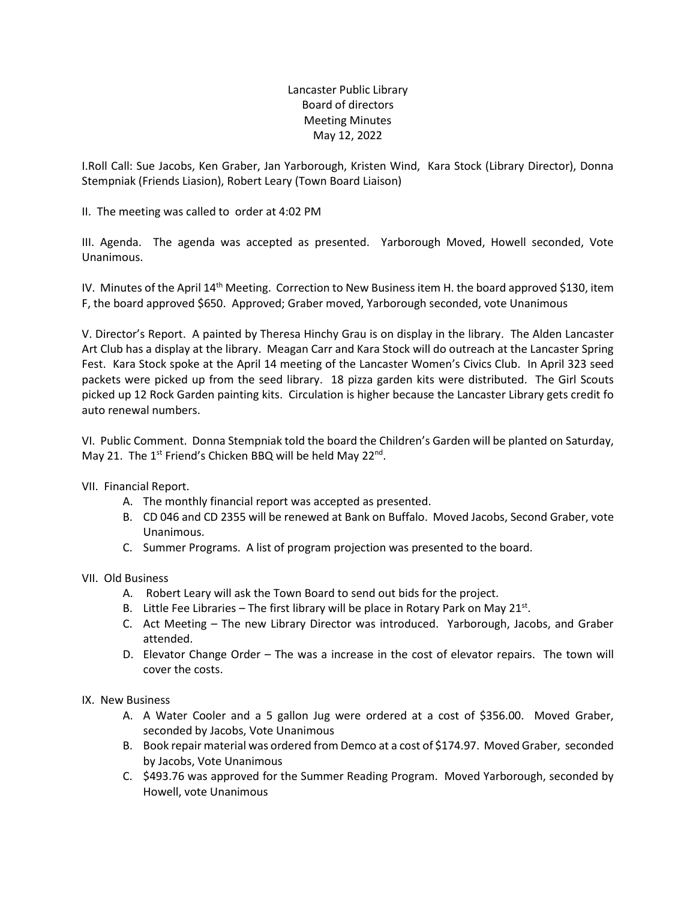## Lancaster Public Library Board of directors Meeting Minutes May 12, 2022

I.Roll Call: Sue Jacobs, Ken Graber, Jan Yarborough, Kristen Wind, Kara Stock (Library Director), Donna Stempniak (Friends Liasion), Robert Leary (Town Board Liaison)

II. The meeting was called to order at 4:02 PM

III. Agenda. The agenda was accepted as presented. Yarborough Moved, Howell seconded, Vote Unanimous.

IV. Minutes of the April 14<sup>th</sup> Meeting. Correction to New Business item H. the board approved \$130, item F, the board approved \$650. Approved; Graber moved, Yarborough seconded, vote Unanimous

V. Director's Report. A painted by Theresa Hinchy Grau is on display in the library. The Alden Lancaster Art Club has a display at the library. Meagan Carr and Kara Stock will do outreach at the Lancaster Spring Fest. Kara Stock spoke at the April 14 meeting of the Lancaster Women's Civics Club. In April 323 seed packets were picked up from the seed library. 18 pizza garden kits were distributed. The Girl Scouts picked up 12 Rock Garden painting kits. Circulation is higher because the Lancaster Library gets credit fo auto renewal numbers.

VI. Public Comment. Donna Stempniak told the board the Children's Garden will be planted on Saturday, May 21. The 1<sup>st</sup> Friend's Chicken BBQ will be held May 22<sup>nd</sup>.

VII. Financial Report.

- A. The monthly financial report was accepted as presented.
- B. CD 046 and CD 2355 will be renewed at Bank on Buffalo. Moved Jacobs, Second Graber, vote Unanimous.
- C. Summer Programs. A list of program projection was presented to the board.

VII. Old Business

- A. Robert Leary will ask the Town Board to send out bids for the project.
- B. Little Fee Libraries The first library will be place in Rotary Park on May 21 $st$ .
- C. Act Meeting The new Library Director was introduced. Yarborough, Jacobs, and Graber attended.
- D. Elevator Change Order The was a increase in the cost of elevator repairs. The town will cover the costs.

IX. New Business

- A. A Water Cooler and a 5 gallon Jug were ordered at a cost of \$356.00. Moved Graber, seconded by Jacobs, Vote Unanimous
- B. Book repair material was ordered from Demco at a cost of \$174.97. Moved Graber, seconded by Jacobs, Vote Unanimous
- C. \$493.76 was approved for the Summer Reading Program. Moved Yarborough, seconded by Howell, vote Unanimous